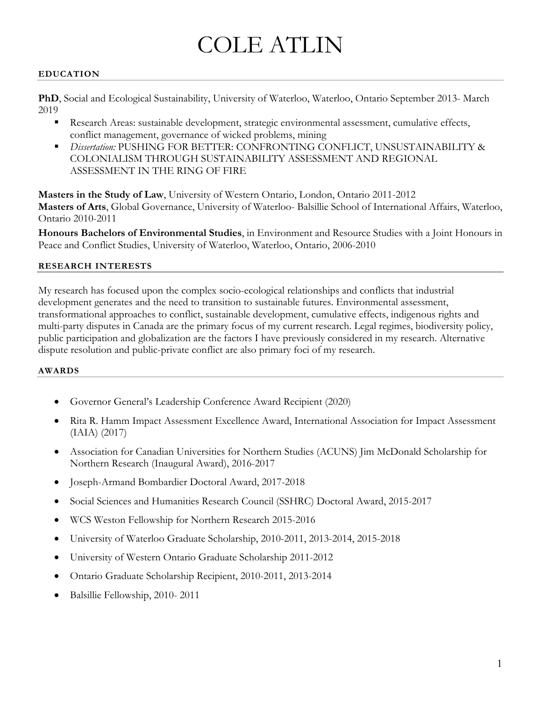# COLE ATLIN

#### **EDUCATION**

**PhD**, Social and Ecological Sustainability, University of Waterloo, Waterloo, Ontario September 2013- March 2019

- Research Areas: sustainable development, strategic environmental assessment, cumulative effects, conflict management, governance of wicked problems, mining
- *Dissertation:* PUSHING FOR BETTER: CONFRONTING CONFLICT, UNSUSTAINABILITY & COLONIALISM THROUGH SUSTAINABILITY ASSESSMENT AND REGIONAL ASSESSMENT IN THE RING OF FIRE

**Masters in the Study of Law**, University of Western Ontario, London, Ontario 2011-2012 **Masters of Arts**, Global Governance, University of Waterloo- Balsillie School of International Affairs, Waterloo, Ontario 2010-2011

**Honours Bachelors of Environmental Studies**, in Environment and Resource Studies with a Joint Honours in Peace and Conflict Studies, University of Waterloo, Waterloo, Ontario, 2006-2010

#### **RESEARCH INTERESTS**

My research has focused upon the complex socio-ecological relationships and conflicts that industrial development generates and the need to transition to sustainable futures. Environmental assessment, transformational approaches to conflict, sustainable development, cumulative effects, indigenous rights and multi-party disputes in Canada are the primary focus of my current research. Legal regimes, biodiversity policy, public participation and globalization are the factors I have previously considered in my research. Alternative dispute resolution and public-private conflict are also primary foci of my research.

#### **AWARDS**

- Governor General's Leadership Conference Award Recipient (2020)
- Rita R. Hamm Impact Assessment Excellence Award, International Association for Impact Assessment (IAIA) (2017)
- Association for Canadian Universities for Northern Studies (ACUNS) Jim McDonald Scholarship for Northern Research (Inaugural Award), 2016-2017
- Joseph-Armand Bombardier Doctoral Award, 2017-2018
- Social Sciences and Humanities Research Council (SSHRC) Doctoral Award, 2015-2017
- WCS Weston Fellowship for Northern Research 2015-2016
- University of Waterloo Graduate Scholarship, 2010-2011, 2013-2014, 2015-2018
- University of Western Ontario Graduate Scholarship 2011-2012
- Ontario Graduate Scholarship Recipient, 2010-2011, 2013-2014
- Balsillie Fellowship, 2010- 2011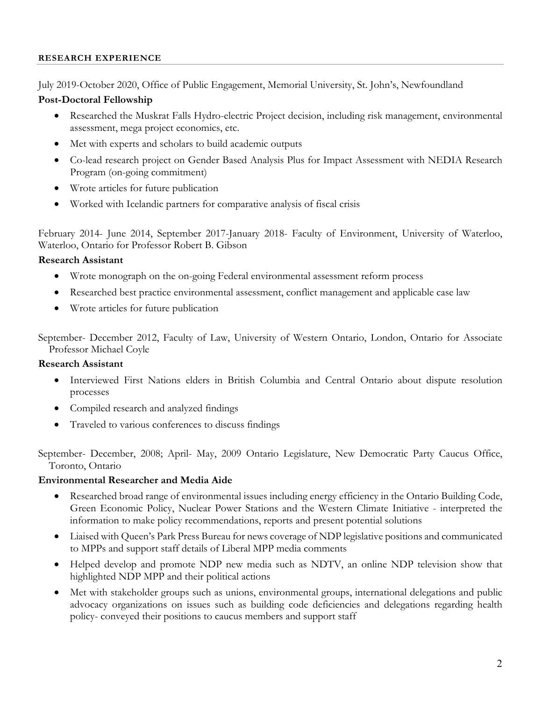#### **RESEARCH EXPERIENCE**

July 2019-October 2020, Office of Public Engagement, Memorial University, St. John's, Newfoundland

#### **Post-Doctoral Fellowship**

- Researched the Muskrat Falls Hydro-electric Project decision, including risk management, environmental assessment, mega project economics, etc.
- Met with experts and scholars to build academic outputs
- Co-lead research project on Gender Based Analysis Plus for Impact Assessment with NEDIA Research Program (on-going commitment)
- Wrote articles for future publication
- Worked with Icelandic partners for comparative analysis of fiscal crisis

February 2014- June 2014, September 2017-January 2018- Faculty of Environment, University of Waterloo, Waterloo, Ontario for Professor Robert B. Gibson

#### **Research Assistant**

- Wrote monograph on the on-going Federal environmental assessment reform process
- Researched best practice environmental assessment, conflict management and applicable case law
- Wrote articles for future publication

September- December 2012, Faculty of Law, University of Western Ontario, London, Ontario for Associate Professor Michael Coyle

#### **Research Assistant**

- Interviewed First Nations elders in British Columbia and Central Ontario about dispute resolution processes
- Compiled research and analyzed findings
- Traveled to various conferences to discuss findings

September- December, 2008; April- May, 2009 Ontario Legislature, New Democratic Party Caucus Office, Toronto, Ontario

#### **Environmental Researcher and Media Aide**

- Researched broad range of environmental issues including energy efficiency in the Ontario Building Code, Green Economic Policy, Nuclear Power Stations and the Western Climate Initiative - interpreted the information to make policy recommendations, reports and present potential solutions
- Liaised with Queen's Park Press Bureau for news coverage of NDP legislative positions and communicated to MPPs and support staff details of Liberal MPP media comments
- Helped develop and promote NDP new media such as NDTV, an online NDP television show that highlighted NDP MPP and their political actions
- Met with stakeholder groups such as unions, environmental groups, international delegations and public advocacy organizations on issues such as building code deficiencies and delegations regarding health policy- conveyed their positions to caucus members and support staff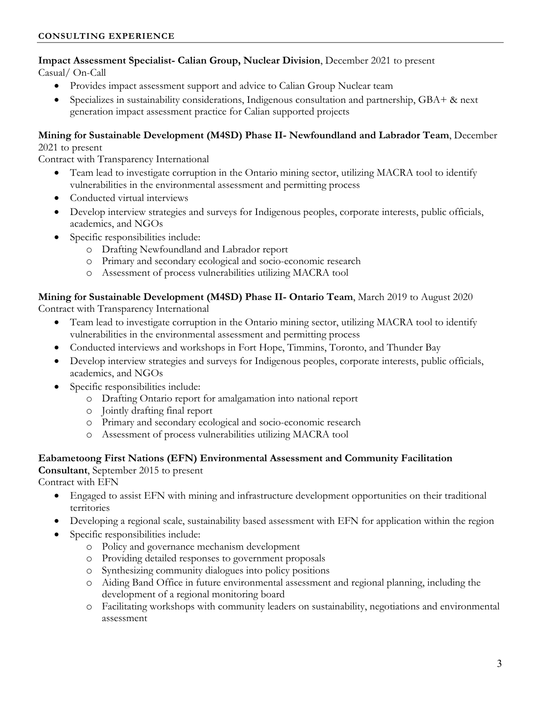# **Impact Assessment Specialist- Calian Group, Nuclear Division**, December 2021 to present

Casual/ On-Call

- Provides impact assessment support and advice to Calian Group Nuclear team
- Specializes in sustainability considerations, Indigenous consultation and partnership, GBA+ & next generation impact assessment practice for Calian supported projects

# **Mining for Sustainable Development (M4SD) Phase II- Newfoundland and Labrador Team**, December

#### 2021 to present

Contract with Transparency International

- Team lead to investigate corruption in the Ontario mining sector, utilizing MACRA tool to identify vulnerabilities in the environmental assessment and permitting process
- Conducted virtual interviews
- Develop interview strategies and surveys for Indigenous peoples, corporate interests, public officials, academics, and NGOs
- Specific responsibilities include:
	- o Drafting Newfoundland and Labrador report
	- o Primary and secondary ecological and socio-economic research
	- o Assessment of process vulnerabilities utilizing MACRA tool

#### **Mining for Sustainable Development (M4SD) Phase II- Ontario Team**, March 2019 to August 2020

Contract with Transparency International

- Team lead to investigate corruption in the Ontario mining sector, utilizing MACRA tool to identify vulnerabilities in the environmental assessment and permitting process
- Conducted interviews and workshops in Fort Hope, Timmins, Toronto, and Thunder Bay
- Develop interview strategies and surveys for Indigenous peoples, corporate interests, public officials, academics, and NGOs
- Specific responsibilities include:
	- o Drafting Ontario report for amalgamation into national report
	- o Jointly drafting final report
	- o Primary and secondary ecological and socio-economic research
	- o Assessment of process vulnerabilities utilizing MACRA tool

#### **Eabametoong First Nations (EFN) Environmental Assessment and Community Facilitation Consultant**, September 2015 to present

Contract with EFN

- Engaged to assist EFN with mining and infrastructure development opportunities on their traditional territories
- Developing a regional scale, sustainability based assessment with EFN for application within the region
- Specific responsibilities include:
	- o Policy and governance mechanism development
	- o Providing detailed responses to government proposals
	- o Synthesizing community dialogues into policy positions
	- o Aiding Band Office in future environmental assessment and regional planning, including the development of a regional monitoring board
	- o Facilitating workshops with community leaders on sustainability, negotiations and environmental assessment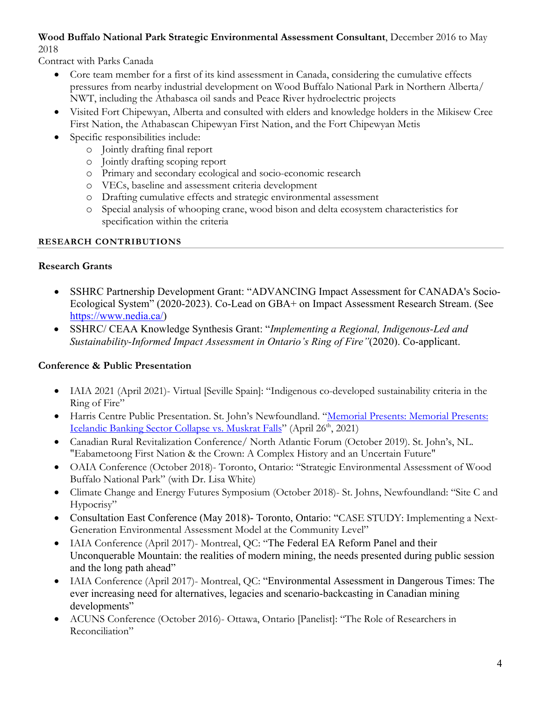#### **Wood Buffalo National Park Strategic Environmental Assessment Consultant**, December 2016 to May 2018

Contract with Parks Canada

- Core team member for a first of its kind assessment in Canada, considering the cumulative effects pressures from nearby industrial development on Wood Buffalo National Park in Northern Alberta/ NWT, including the Athabasca oil sands and Peace River hydroelectric projects
- Visited Fort Chipewyan, Alberta and consulted with elders and knowledge holders in the Mikisew Cree First Nation, the Athabascan Chipewyan First Nation, and the Fort Chipewyan Metis
- Specific responsibilities include:
	- o Jointly drafting final report
	- o Jointly drafting scoping report
	- o Primary and secondary ecological and socio-economic research
	- o VECs, baseline and assessment criteria development
	- o Drafting cumulative effects and strategic environmental assessment
	- o Special analysis of whooping crane, wood bison and delta ecosystem characteristics for specification within the criteria

# **RESEARCH CONTRIBUTIONS**

# **Research Grants**

- SSHRC Partnership Development Grant: "ADVANCING Impact Assessment for CANADA's Socio-Ecological System" (2020-2023). Co-Lead on GBA+ on Impact Assessment Research Stream. (See https://www.nedia.ca/)
- SSHRC/ CEAA Knowledge Synthesis Grant: "*Implementing a Regional, Indigenous-Led and Sustainability-Informed Impact Assessment in Ontario's Ring of Fire"*(2020). Co-applicant.

# **Conference & Public Presentation**

- IAIA 2021 (April 2021)- Virtual [Seville Spain]: "Indigenous co-developed sustainability criteria in the Ring of Fire"
- Harris Centre Public Presentation. St. John's Newfoundland. "Memorial Presents: Memorial Presents: Icelandic Banking Sector Collapse vs. Muskrat Falls" (April 26<sup>th</sup>, 2021)
- Canadian Rural Revitalization Conference/ North Atlantic Forum (October 2019). St. John's, NL. "Eabametoong First Nation & the Crown: A Complex History and an Uncertain Future"
- OAIA Conference (October 2018)- Toronto, Ontario: "Strategic Environmental Assessment of Wood Buffalo National Park" (with Dr. Lisa White)
- Climate Change and Energy Futures Symposium (October 2018)- St. Johns, Newfoundland: "Site C and Hypocrisy"
- Consultation East Conference (May 2018)- Toronto, Ontario: "CASE STUDY: Implementing a Next-Generation Environmental Assessment Model at the Community Level"
- IAIA Conference (April 2017)- Montreal, QC: "The Federal EA Reform Panel and their Unconquerable Mountain: the realities of modern mining, the needs presented during public session and the long path ahead"
- IAIA Conference (April 2017)- Montreal, QC: "Environmental Assessment in Dangerous Times: The ever increasing need for alternatives, legacies and scenario-backcasting in Canadian mining developments"
- ACUNS Conference (October 2016)- Ottawa, Ontario [Panelist]: "The Role of Researchers in Reconciliation"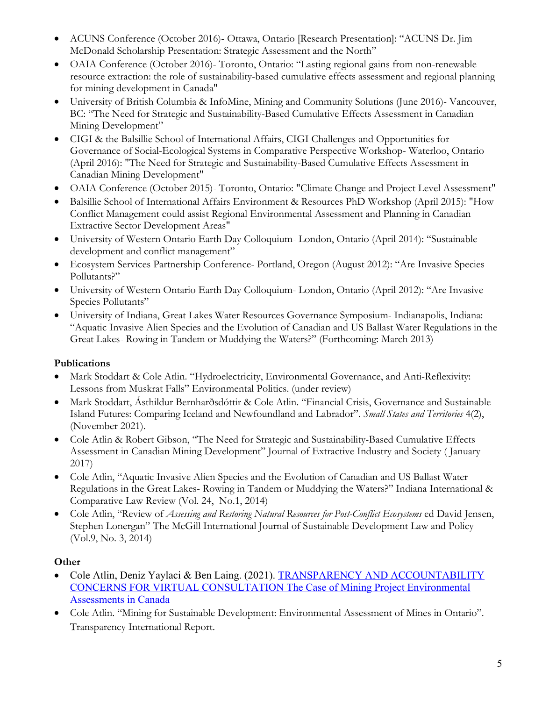- ACUNS Conference (October 2016)- Ottawa, Ontario [Research Presentation]: "ACUNS Dr. Jim McDonald Scholarship Presentation: Strategic Assessment and the North"
- OAIA Conference (October 2016)- Toronto, Ontario: "Lasting regional gains from non-renewable resource extraction: the role of sustainability-based cumulative effects assessment and regional planning for mining development in Canada"
- University of British Columbia & InfoMine, Mining and Community Solutions (June 2016)- Vancouver, BC: "The Need for Strategic and Sustainability-Based Cumulative Effects Assessment in Canadian Mining Development"
- CIGI & the Balsillie School of International Affairs, CIGI Challenges and Opportunities for Governance of Social-Ecological Systems in Comparative Perspective Workshop- Waterloo, Ontario (April 2016): "The Need for Strategic and Sustainability-Based Cumulative Effects Assessment in Canadian Mining Development"
- OAIA Conference (October 2015)- Toronto, Ontario: "Climate Change and Project Level Assessment"
- Balsillie School of International Affairs Environment & Resources PhD Workshop (April 2015): "How Conflict Management could assist Regional Environmental Assessment and Planning in Canadian Extractive Sector Development Areas"
- University of Western Ontario Earth Day Colloquium- London, Ontario (April 2014): "Sustainable development and conflict management"
- Ecosystem Services Partnership Conference- Portland, Oregon (August 2012): "Are Invasive Species Pollutants?"
- University of Western Ontario Earth Day Colloquium- London, Ontario (April 2012): "Are Invasive Species Pollutants"
- University of Indiana, Great Lakes Water Resources Governance Symposium- Indianapolis, Indiana: "Aquatic Invasive Alien Species and the Evolution of Canadian and US Ballast Water Regulations in the Great Lakes- Rowing in Tandem or Muddying the Waters?" (Forthcoming: March 2013)

# **Publications**

- Mark Stoddart & Cole Atlin. "Hydroelectricity, Environmental Governance, and Anti-Reflexivity: Lessons from Muskrat Falls" Environmental Politics. (under review)
- Mark Stoddart, Ásthildur Bernharðsdóttir & Cole Atlin. "Financial Crisis, Governance and Sustainable Island Futures: Comparing Iceland and Newfoundland and Labrador". *Small States and Territories* 4(2), (November 2021).
- Cole Atlin & Robert Gibson, "The Need for Strategic and Sustainability-Based Cumulative Effects Assessment in Canadian Mining Development" Journal of Extractive Industry and Society ( January 2017)
- Cole Atlin, "Aquatic Invasive Alien Species and the Evolution of Canadian and US Ballast Water Regulations in the Great Lakes- Rowing in Tandem or Muddying the Waters?" Indiana International & Comparative Law Review (Vol. 24, No.1, 2014)
- Cole Atlin, "Review of *Assessing and Restoring Natural Resources for Post-Conflict Ecosystems* ed David Jensen, Stephen Lonergan" The McGill International Journal of Sustainable Development Law and Policy (Vol.9, No. 3, 2014)

# **Other**

- Cole Atlin, Deniz Yaylaci & Ben Laing. (2021). TRANSPARENCY AND ACCOUNTABILITY CONCERNS FOR VIRTUAL CONSULTATION The Case of Mining Project Environmental Assessments in Canada
- Cole Atlin. "Mining for Sustainable Development: Environmental Assessment of Mines in Ontario". Transparency International Report.